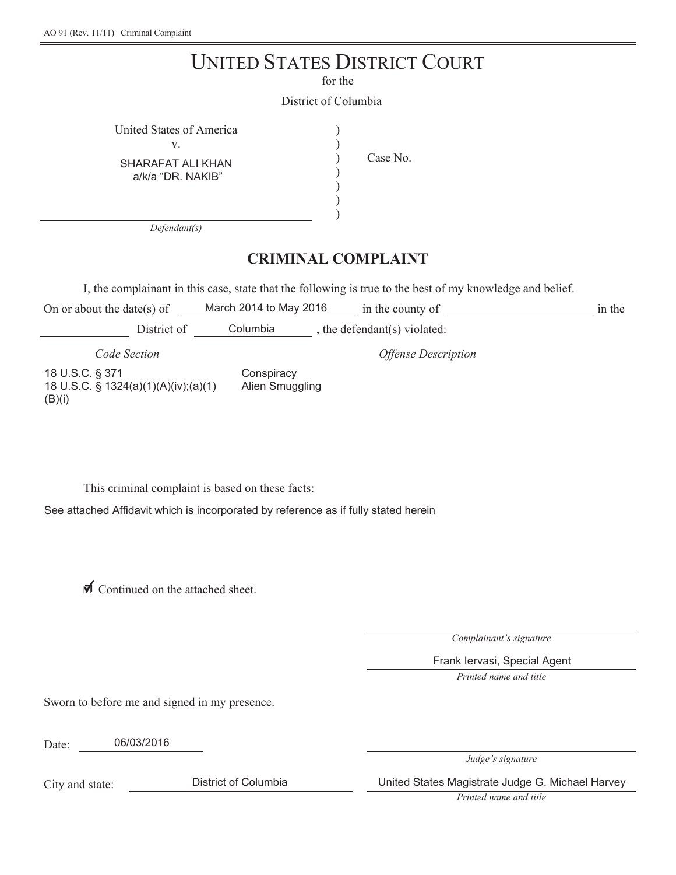# UNITED STATES DISTRICT COURT

for the

) ) ) ) ) )

District of Columbia

| United States of America               |  |
|----------------------------------------|--|
|                                        |  |
| $C[1]$ $A D A T A T A I I J I J I A M$ |  |

SHARAFAT ALI KHAN a/k/a "DR. NAKIB"

Case No.

*Defendant(s)*

# **CRIMINAL COMPLAINT**

I, the complainant in this case, state that the following is true to the best of my knowledge and belief.

On or about the date(s) of March 2014 to May 2016  $\qquad$  in the county of in the

District of Columbia , the defendant(s) violated:

*Code Section Offense Description*

18 U.S.C. § 371

(B)(i)

18 U.S.C. § 1324(a)(1)(A)(iv);(a)(1) **Conspiracy** Alien Smuggling

This criminal complaint is based on these facts:

See attached Affidavit which is incorporated by reference as if fully stated herein

**I** Continued on the attached sheet.

*Complainant's signature*

Frank Iervasi, Special Agent

*Printed name and title*

Sworn to before me and signed in my presence.

Date: 06/03/2016

*Judge's signature*

City and state:

District of Columbia United States Magistrate Judge G. Michael Harvey

*Printed name and title*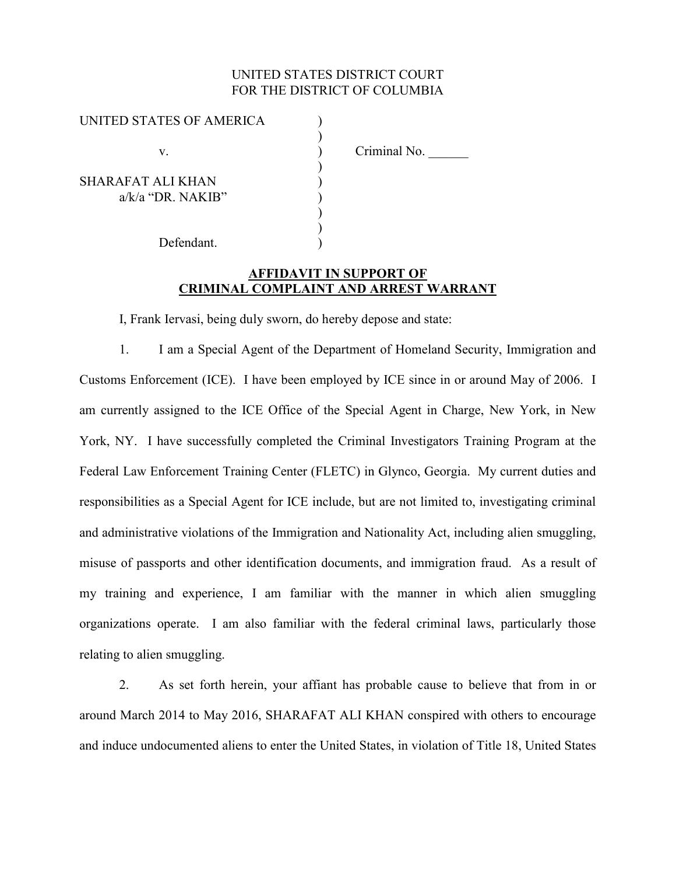## UNITED STATES DISTRICT COURT FOR THE DISTRICT OF COLUMBIA

| UNITED STATES OF AMERICA                 |              |
|------------------------------------------|--------------|
| V.                                       | Criminal No. |
| SHARAFAT ALI KHAN<br>$a/k/a$ "DR. NAKIB" |              |
| Defendant.                               |              |
|                                          |              |

# **AFFIDAVIT IN SUPPORT OF CRIMINAL COMPLAINT AND ARREST WARRANT**

I, Frank Iervasi, being duly sworn, do hereby depose and state:

1. I am a Special Agent of the Department of Homeland Security, Immigration and Customs Enforcement (ICE). I have been employed by ICE since in or around May of 2006. I am currently assigned to the ICE Office of the Special Agent in Charge, New York, in New York, NY. I have successfully completed the Criminal Investigators Training Program at the Federal Law Enforcement Training Center (FLETC) in Glynco, Georgia. My current duties and responsibilities as a Special Agent for ICE include, but are not limited to, investigating criminal and administrative violations of the Immigration and Nationality Act, including alien smuggling, misuse of passports and other identification documents, and immigration fraud. As a result of my training and experience, I am familiar with the manner in which alien smuggling organizations operate. I am also familiar with the federal criminal laws, particularly those relating to alien smuggling.

2. As set forth herein, your affiant has probable cause to believe that from in or around March 2014 to May 2016, SHARAFAT ALI KHAN conspired with others to encourage and induce undocumented aliens to enter the United States, in violation of Title 18, United States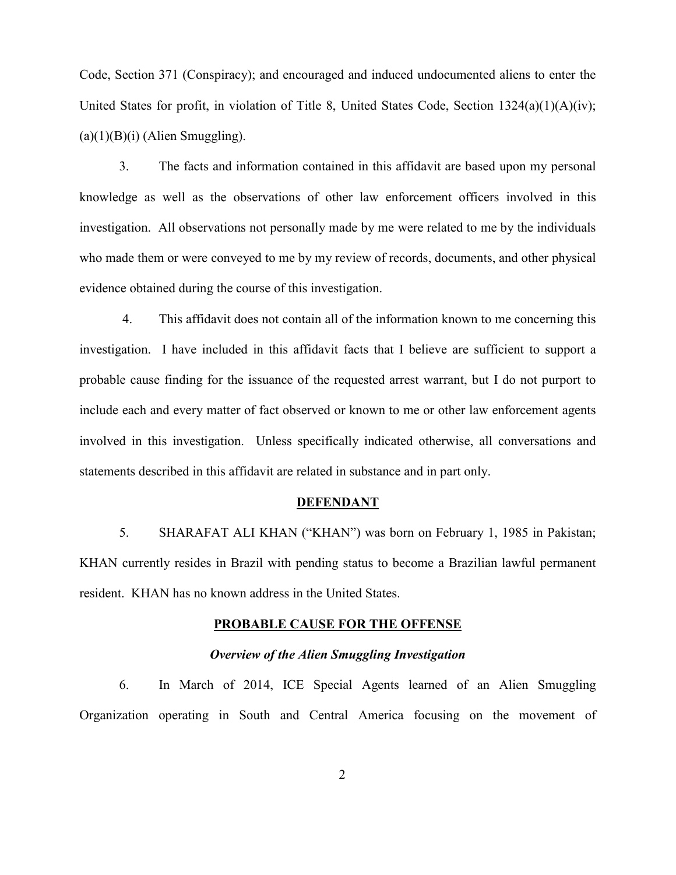Code, Section 371 (Conspiracy); and encouraged and induced undocumented aliens to enter the United States for profit, in violation of Title 8, United States Code, Section  $1324(a)(1)(A)(iv)$ ;  $(a)(1)(B)(i)$  (Alien Smuggling).

3. The facts and information contained in this affidavit are based upon my personal knowledge as well as the observations of other law enforcement officers involved in this investigation. All observations not personally made by me were related to me by the individuals who made them or were conveyed to me by my review of records, documents, and other physical evidence obtained during the course of this investigation.

4. This affidavit does not contain all of the information known to me concerning this investigation. I have included in this affidavit facts that I believe are sufficient to support a probable cause finding for the issuance of the requested arrest warrant, but I do not purport to include each and every matter of fact observed or known to me or other law enforcement agents involved in this investigation. Unless specifically indicated otherwise, all conversations and statements described in this affidavit are related in substance and in part only.

#### **DEFENDANT**

5. SHARAFAT ALI KHAN ("KHAN") was born on February 1, 1985 in Pakistan; KHAN currently resides in Brazil with pending status to become a Brazilian lawful permanent resident. KHAN has no known address in the United States.

#### **PROBABLE CAUSE FOR THE OFFENSE**

## *Overview of the Alien Smuggling Investigation*

6. In March of 2014, ICE Special Agents learned of an Alien Smuggling Organization operating in South and Central America focusing on the movement of

2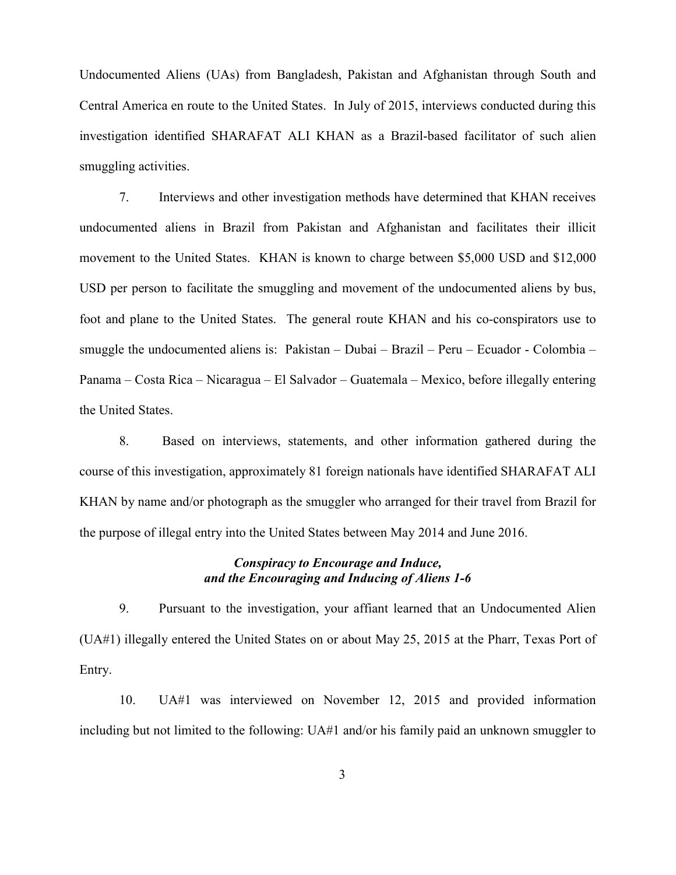Undocumented Aliens (UAs) from Bangladesh, Pakistan and Afghanistan through South and Central America en route to the United States. In July of 2015, interviews conducted during this investigation identified SHARAFAT ALI KHAN as a Brazil-based facilitator of such alien smuggling activities.

7. Interviews and other investigation methods have determined that KHAN receives undocumented aliens in Brazil from Pakistan and Afghanistan and facilitates their illicit movement to the United States. KHAN is known to charge between \$5,000 USD and \$12,000 USD per person to facilitate the smuggling and movement of the undocumented aliens by bus, foot and plane to the United States. The general route KHAN and his co-conspirators use to smuggle the undocumented aliens is: Pakistan – Dubai – Brazil – Peru – Ecuador - Colombia – Panama – Costa Rica – Nicaragua – El Salvador – Guatemala – Mexico, before illegally entering the United States.

8. Based on interviews, statements, and other information gathered during the course of this investigation, approximately 81 foreign nationals have identified SHARAFAT ALI KHAN by name and/or photograph as the smuggler who arranged for their travel from Brazil for the purpose of illegal entry into the United States between May 2014 and June 2016.

## *Conspiracy to Encourage and Induce, and the Encouraging and Inducing of Aliens 1-6*

9. Pursuant to the investigation, your affiant learned that an Undocumented Alien (UA#1) illegally entered the United States on or about May 25, 2015 at the Pharr, Texas Port of Entry.

10. UA#1 was interviewed on November 12, 2015 and provided information including but not limited to the following: UA#1 and/or his family paid an unknown smuggler to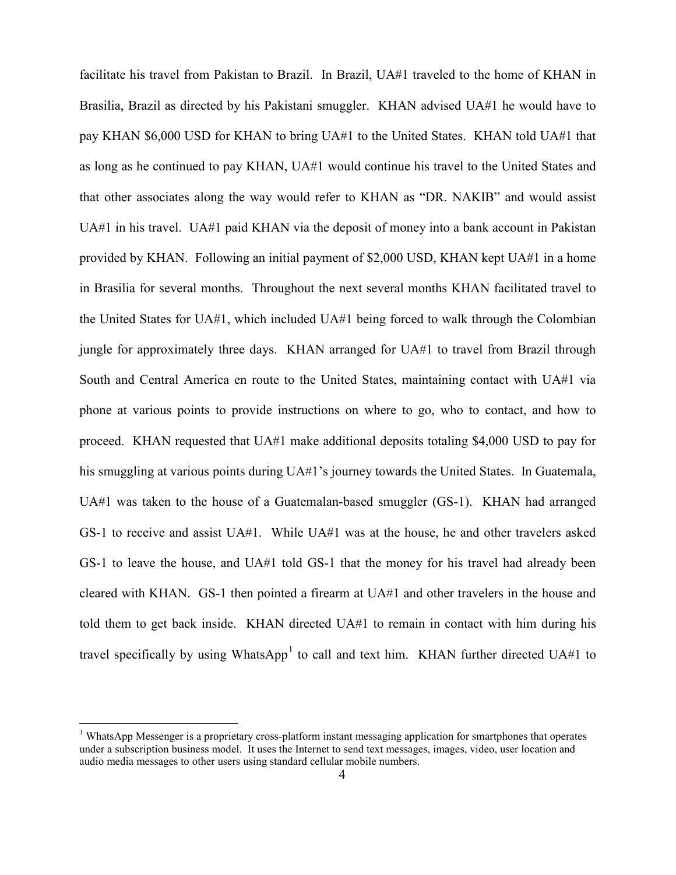facilitate his travel from Pakistan to Brazil. In Brazil, UA#1 traveled to the home of KHAN in Brasilia, Brazil as directed by his Pakistani smuggler. KHAN advised UA#1 he would have to pay KHAN \$6,000 USD for KHAN to bring UA#1 to the United States. KHAN told UA#1 that as long as he continued to pay KHAN, UA#1 would continue his travel to the United States and that other associates along the way would refer to KHAN as "DR. NAKIB" and would assist UA#1 in his travel. UA#1 paid KHAN via the deposit of money into a bank account in Pakistan provided by KHAN. Following an initial payment of \$2,000 USD, KHAN kept UA#1 in a home in Brasilia for several months. Throughout the next several months KHAN facilitated travel to the United States for UA#1, which included UA#1 being forced to walk through the Colombian jungle for approximately three days. KHAN arranged for UA#1 to travel from Brazil through South and Central America en route to the United States, maintaining contact with UA#1 via phone at various points to provide instructions on where to go, who to contact, and how to proceed. KHAN requested that UA#1 make additional deposits totaling \$4,000 USD to pay for his smuggling at various points during UA#1's journey towards the United States. In Guatemala, UA#1 was taken to the house of a Guatemalan-based smuggler (GS-1). KHAN had arranged GS-1 to receive and assist UA#1. While UA#1 was at the house, he and other travelers asked GS-1 to leave the house, and UA#1 told GS-1 that the money for his travel had already been cleared with KHAN. GS-1 then pointed a firearm at UA#1 and other travelers in the house and told them to get back inside. KHAN directed UA#1 to remain in contact with him during his travel specifically by using WhatsApp<sup>1</sup> to call and text him. KHAN further directed UA#1 to

<sup>&</sup>lt;sup>1</sup> WhatsApp Messenger is a proprietary cross-platform instant messaging application for smartphones that operates under a subscription business model. It uses the Internet to send text messages, images, video, user location and audio media messages to other users using standard cellular mobile numbers.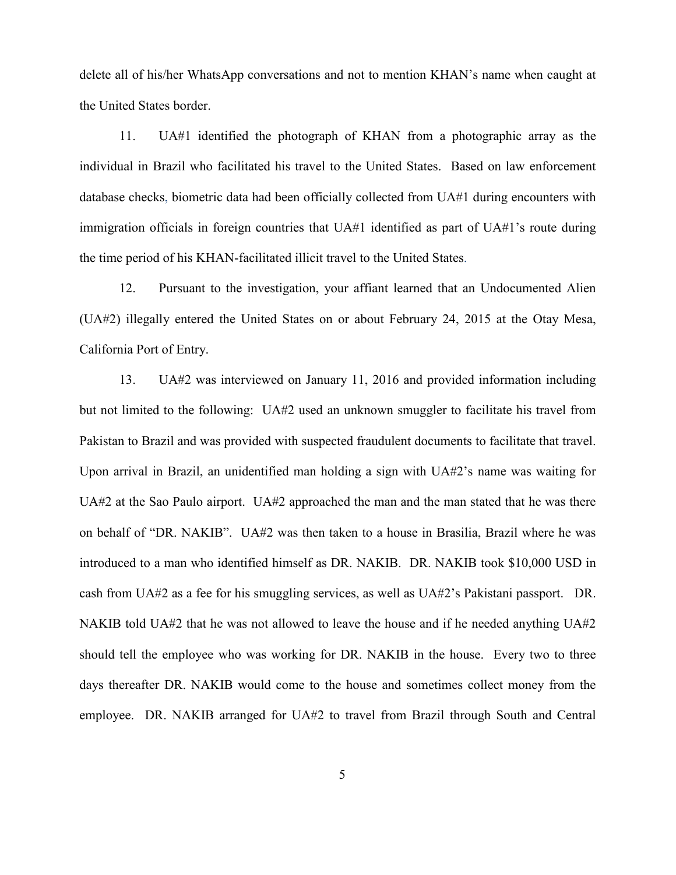delete all of his/her WhatsApp conversations and not to mention KHAN's name when caught at the United States border.

11. UA#1 identified the photograph of KHAN from a photographic array as the individual in Brazil who facilitated his travel to the United States. Based on law enforcement database checks, biometric data had been officially collected from UA#1 during encounters with immigration officials in foreign countries that UA#1 identified as part of UA#1's route during the time period of his KHAN-facilitated illicit travel to the United States.

12. Pursuant to the investigation, your affiant learned that an Undocumented Alien (UA#2) illegally entered the United States on or about February 24, 2015 at the Otay Mesa, California Port of Entry.

13. UA#2 was interviewed on January 11, 2016 and provided information including but not limited to the following: UA#2 used an unknown smuggler to facilitate his travel from Pakistan to Brazil and was provided with suspected fraudulent documents to facilitate that travel. Upon arrival in Brazil, an unidentified man holding a sign with UA#2's name was waiting for UA#2 at the Sao Paulo airport. UA#2 approached the man and the man stated that he was there on behalf of "DR. NAKIB". UA#2 was then taken to a house in Brasilia, Brazil where he was introduced to a man who identified himself as DR. NAKIB. DR. NAKIB took \$10,000 USD in cash from UA#2 as a fee for his smuggling services, as well as UA#2's Pakistani passport. DR. NAKIB told UA#2 that he was not allowed to leave the house and if he needed anything UA#2 should tell the employee who was working for DR. NAKIB in the house. Every two to three days thereafter DR. NAKIB would come to the house and sometimes collect money from the employee. DR. NAKIB arranged for UA#2 to travel from Brazil through South and Central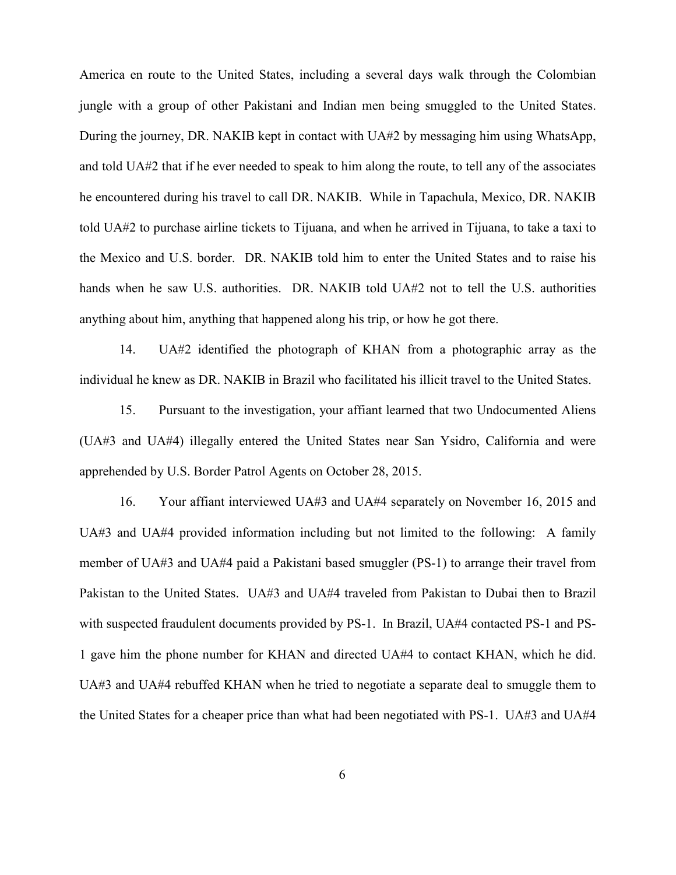America en route to the United States, including a several days walk through the Colombian jungle with a group of other Pakistani and Indian men being smuggled to the United States. During the journey, DR. NAKIB kept in contact with UA#2 by messaging him using WhatsApp, and told UA#2 that if he ever needed to speak to him along the route, to tell any of the associates he encountered during his travel to call DR. NAKIB. While in Tapachula, Mexico, DR. NAKIB told UA#2 to purchase airline tickets to Tijuana, and when he arrived in Tijuana, to take a taxi to the Mexico and U.S. border. DR. NAKIB told him to enter the United States and to raise his hands when he saw U.S. authorities. DR. NAKIB told UA#2 not to tell the U.S. authorities anything about him, anything that happened along his trip, or how he got there.

14. UA#2 identified the photograph of KHAN from a photographic array as the individual he knew as DR. NAKIB in Brazil who facilitated his illicit travel to the United States.

15. Pursuant to the investigation, your affiant learned that two Undocumented Aliens (UA#3 and UA#4) illegally entered the United States near San Ysidro, California and were apprehended by U.S. Border Patrol Agents on October 28, 2015.

16. Your affiant interviewed UA#3 and UA#4 separately on November 16, 2015 and UA#3 and UA#4 provided information including but not limited to the following: A family member of UA#3 and UA#4 paid a Pakistani based smuggler (PS-1) to arrange their travel from Pakistan to the United States. UA#3 and UA#4 traveled from Pakistan to Dubai then to Brazil with suspected fraudulent documents provided by PS-1. In Brazil, UA#4 contacted PS-1 and PS-1 gave him the phone number for KHAN and directed UA#4 to contact KHAN, which he did. UA#3 and UA#4 rebuffed KHAN when he tried to negotiate a separate deal to smuggle them to the United States for a cheaper price than what had been negotiated with PS-1. UA#3 and UA#4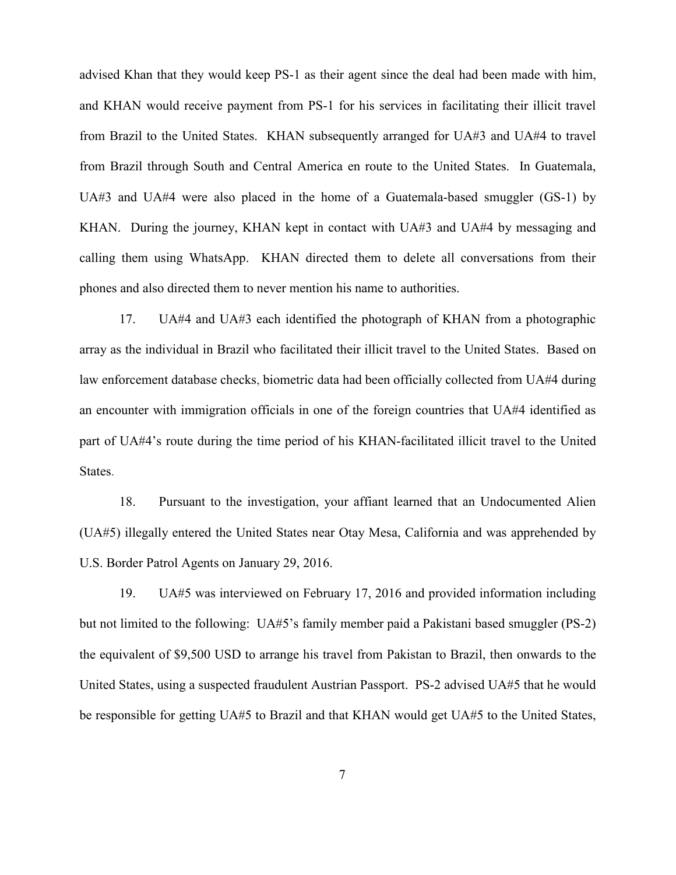advised Khan that they would keep PS-1 as their agent since the deal had been made with him, and KHAN would receive payment from PS-1 for his services in facilitating their illicit travel from Brazil to the United States. KHAN subsequently arranged for UA#3 and UA#4 to travel from Brazil through South and Central America en route to the United States. In Guatemala, UA#3 and UA#4 were also placed in the home of a Guatemala-based smuggler (GS-1) by KHAN. During the journey, KHAN kept in contact with UA#3 and UA#4 by messaging and calling them using WhatsApp. KHAN directed them to delete all conversations from their phones and also directed them to never mention his name to authorities.

17. UA#4 and UA#3 each identified the photograph of KHAN from a photographic array as the individual in Brazil who facilitated their illicit travel to the United States. Based on law enforcement database checks, biometric data had been officially collected from UA#4 during an encounter with immigration officials in one of the foreign countries that UA#4 identified as part of UA#4's route during the time period of his KHAN-facilitated illicit travel to the United States.

18. Pursuant to the investigation, your affiant learned that an Undocumented Alien (UA#5) illegally entered the United States near Otay Mesa, California and was apprehended by U.S. Border Patrol Agents on January 29, 2016.

19. UA#5 was interviewed on February 17, 2016 and provided information including but not limited to the following: UA#5's family member paid a Pakistani based smuggler (PS-2) the equivalent of \$9,500 USD to arrange his travel from Pakistan to Brazil, then onwards to the United States, using a suspected fraudulent Austrian Passport. PS-2 advised UA#5 that he would be responsible for getting UA#5 to Brazil and that KHAN would get UA#5 to the United States,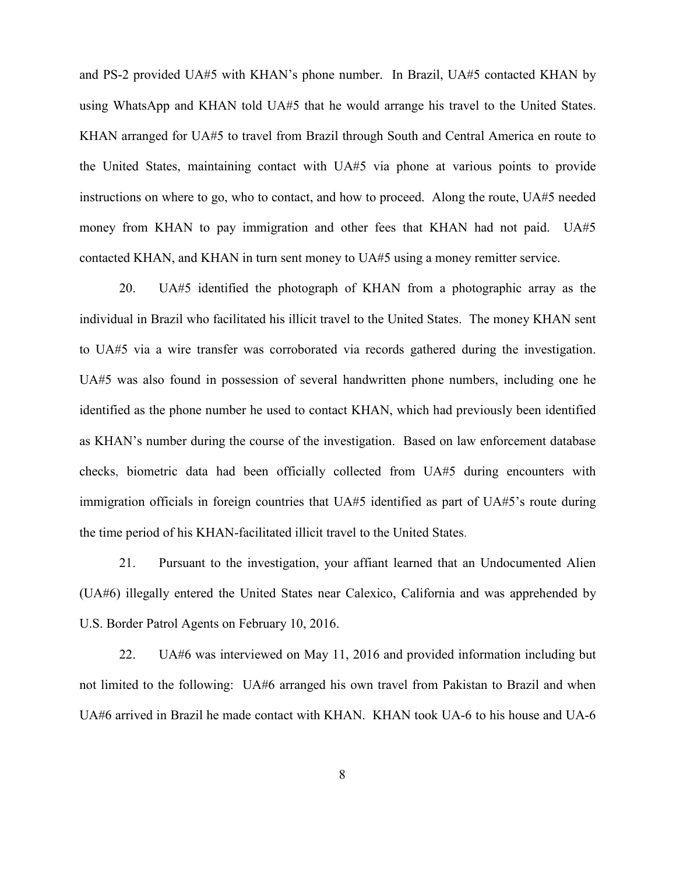and PS-2 provided UA#5 with KHAN's phone number. In Brazil, UA#5 contacted KHAN by using WhatsApp and KHAN told UA#5 that he would arrange his travel to the United States. KHAN arranged for UA#5 to travel from Brazil through South and Central America en route to the United States, maintaining contact with UA#5 via phone at various points to provide instructions on where to go, who to contact, and how to proceed. Along the route, UA#5 needed money from KHAN to pay immigration and other fees that KHAN had not paid. UA#5 contacted KHAN, and KHAN in turn sent money to UA#5 using a money remitter service.

20. UA#5 identified the photograph of KHAN from a photographic array as the individual in Brazil who facilitated his illicit travel to the United States. The money KHAN sent to UA#5 via a wire transfer was corroborated via records gathered during the investigation. UA#5 was also found in possession of several handwritten phone numbers, including one he identified as the phone number he used to contact KHAN, which had previously been identified as KHAN's number during the course of the investigation. Based on law enforcement database checks, biometric data had been officially collected from UA#5 during encounters with immigration officials in foreign countries that UA#5 identified as part of UA#5's route during the time period of his KHAN-facilitated illicit travel to the United States.

21. Pursuant to the investigation, your affiant learned that an Undocumented Alien (UA#6) illegally entered the United States near Calexico, California and was apprehended by U.S. Border Patrol Agents on February 10, 2016.

22. UA#6 was interviewed on May 11, 2016 and provided information including but not limited to the following: UA#6 arranged his own travel from Pakistan to Brazil and when UA#6 arrived in Brazil he made contact with KHAN. KHAN took UA-6 to his house and UA-6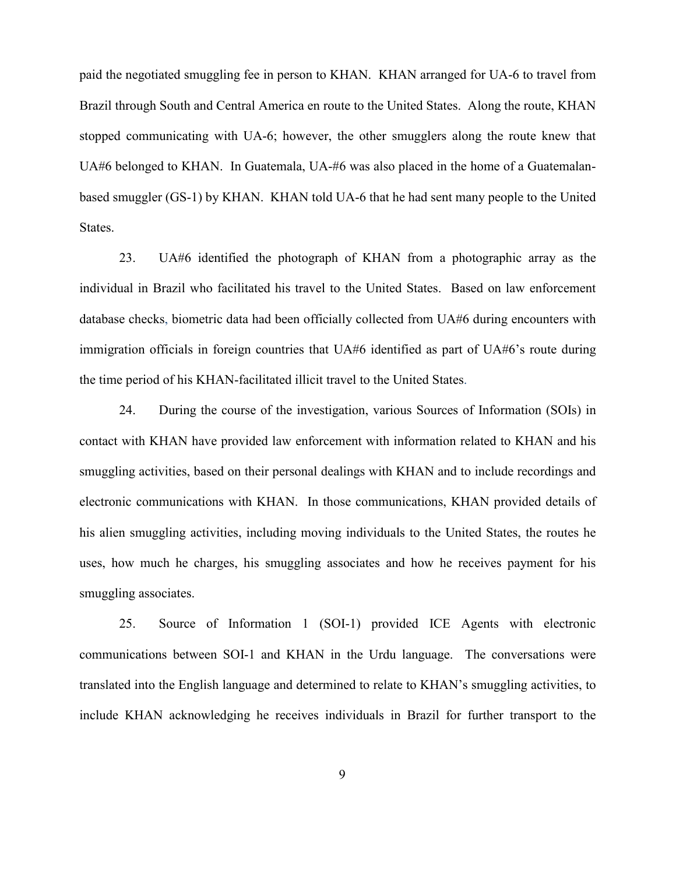paid the negotiated smuggling fee in person to KHAN. KHAN arranged for UA-6 to travel from Brazil through South and Central America en route to the United States. Along the route, KHAN stopped communicating with UA-6; however, the other smugglers along the route knew that UA#6 belonged to KHAN. In Guatemala, UA-#6 was also placed in the home of a Guatemalanbased smuggler (GS-1) by KHAN. KHAN told UA-6 that he had sent many people to the United States.

23. UA#6 identified the photograph of KHAN from a photographic array as the individual in Brazil who facilitated his travel to the United States. Based on law enforcement database checks, biometric data had been officially collected from UA#6 during encounters with immigration officials in foreign countries that UA#6 identified as part of UA#6's route during the time period of his KHAN-facilitated illicit travel to the United States.

24. During the course of the investigation, various Sources of Information (SOIs) in contact with KHAN have provided law enforcement with information related to KHAN and his smuggling activities, based on their personal dealings with KHAN and to include recordings and electronic communications with KHAN. In those communications, KHAN provided details of his alien smuggling activities, including moving individuals to the United States, the routes he uses, how much he charges, his smuggling associates and how he receives payment for his smuggling associates.

25. Source of Information 1 (SOI-1) provided ICE Agents with electronic communications between SOI-1 and KHAN in the Urdu language. The conversations were translated into the English language and determined to relate to KHAN's smuggling activities, to include KHAN acknowledging he receives individuals in Brazil for further transport to the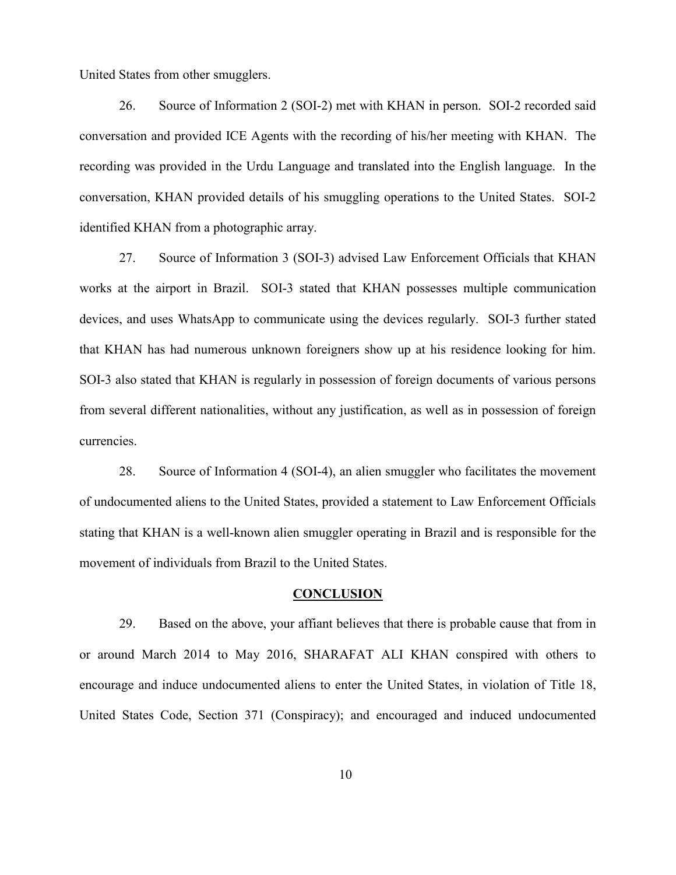United States from other smugglers.

26. Source of Information 2 (SOI-2) met with KHAN in person. SOI-2 recorded said conversation and provided ICE Agents with the recording of his/her meeting with KHAN. The recording was provided in the Urdu Language and translated into the English language. In the conversation, KHAN provided details of his smuggling operations to the United States. SOI-2 identified KHAN from a photographic array.

27. Source of Information 3 (SOI-3) advised Law Enforcement Officials that KHAN works at the airport in Brazil. SOI-3 stated that KHAN possesses multiple communication devices, and uses WhatsApp to communicate using the devices regularly. SOI-3 further stated that KHAN has had numerous unknown foreigners show up at his residence looking for him. SOI-3 also stated that KHAN is regularly in possession of foreign documents of various persons from several different nationalities, without any justification, as well as in possession of foreign currencies.

28. Source of Information 4 (SOI-4), an alien smuggler who facilitates the movement of undocumented aliens to the United States, provided a statement to Law Enforcement Officials stating that KHAN is a well-known alien smuggler operating in Brazil and is responsible for the movement of individuals from Brazil to the United States.

### **CONCLUSION**

29. Based on the above, your affiant believes that there is probable cause that from in or around March 2014 to May 2016, SHARAFAT ALI KHAN conspired with others to encourage and induce undocumented aliens to enter the United States, in violation of Title 18, United States Code, Section 371 (Conspiracy); and encouraged and induced undocumented